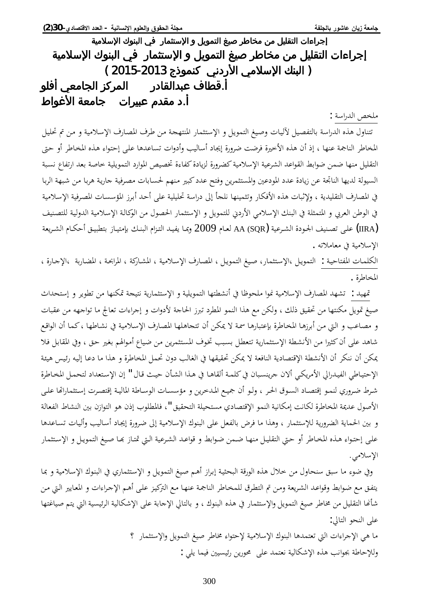ᥴ᧔ᧃᦓ᧙ҫӂᧈᥲᦿҫ᧒ᦳ ҵᧄᦓ᧙ҫӇᦾ᧓ᧄᦿҫ᧔ᦛᦎᦣᦈᧃᧆᧃᦾ᧔ᧀᦸᦿҫҮҫҥҫᦎҩ إجراءات التقليل من مخاطر صيغ التمويل و الإستثمار في البنوك الإسلامية ( البنك الإسلامي الأردني كنموذج 2013-2015 ) أ.قطاف عبدالقادر المركز الجامعي أفلو أ.د مقدم عبيرات جامعة الأغواط

ملخص الدراسة :

تتناول هذه الدراسة بالتفصيل لآليات وصيغ التمويل و الإستثمار المنتهجة من طرف المصارف الإسلامية و من تم تحليل المخاطر الناجمة عنها ، إذ أن هذه الأخيرة فرضت ضرورة إيجاد أساليب وأدوات تساعدها على إحتواء هذه المخاطر أو حتى التقليل منها ضمن ضوابط القواعد الشرعية الإسلامية كضرورة لزيادة كفاءة تخصيص الموارد التمويلية خاصة بعد ارتفاع نسبة السيولة لديها الناتحة عن زيادة عدد المودعين والمستثمرين وفتح عدد كبير منهم لحسابات مصرفية جارية هربا من شبهة الربا في المصارف التقليدية ، ولإثبات هذه الأفكار وتثمينها نلجأ إلى دراسة تحليلية على أحد أبرز المؤسسات المصرفية الإسلامية في الوطن العربي و المتمثلة في البنك الإسلامي الأردني للتمويل و الإستثمار الحصول من الوكالة الإسلامية الدولية للتصنيف خلي تصنيف الجـودة الشـرعية AA (SQR) لعـام 2009 وبمـا يفيـد التـزام البنـك بإمتيـاز بتطبيـق أحكـام الشـريعة (IIRA الإسلامية في معاملاته .

الكلمات المفتاحية : التمويل ،الإستثمار، صيغ التمويل ، المصارف الإسلامية ، المشاركة ، المرابحة ، المضاربة ،الإجارة ، المخاطرة .

قمهيد : تشهد المصارف الإسلامية نموا ملحوظا في أنشطتها التمويلية و الإستثمارية نتيجة تمكنها من تطوير و إستحداث صيغ تمويل مكنتها من تحقيق ذلك ، ولكن مع هذا النمو المطرد تبرز الحاجة لأدوات و إجراءات تعالج ما تواجهه من عقبات و مصاعب و التي من أبرزها المخاطرة بإعتبارها سمة لا يمكن أن تتجاهلها المصارف الإسلامية في نشاطها ، كما أن الواقع شاهد على أن كثيرا من الأنشطة الإستثمارية تتعطل بسبب تخوف المستثمرين من ضياع أموالهم بغير حق ، وفي المقابل فلا عكن أن ننكر أن الأنشطة الإقتصادية النافعة لا يمكن تحقيقها في الغالب دون تحمل المخاطرة و هذا ما دعا إليه رئيس هيئة الإحتياطي الفيدرالي الأمريكي ألان جرينسبان في كلمة ألقاها في هذا الشأن حيث قال " إن الإستعداد لتحمل المحاطرة شرط ضروري لنمو إقتصاد السوق الحر ، ولو أن جميع المدخرين و مؤسسات الوساطة الماليـة إقتصرت إستثماراتها علـى الأصول عديمة المخاطرة لكانت إمكانية النمو الإقتصادي مستحيلة التحقيق "، فالمطلوب إذن هو التوازن بين النشاط الفعالة و بين الحماية الضرورية للإستثمار ، وهذا ما فرض بالفعل على البنوك الإسلامية إلى ضرورة إيجاد أساليب وأليات تساعدها على إحتواء هذه المخاطر أو حتى التقليل منهـا ضمن ضوابط و قواعـد الشرعية الـتي تمتـاز بهـا صيغ التمويـل و الإستثمار الإسلامي.

وفي ضوء ما سبق سنحاول من خلال هذه الورقة البحثية إبراز أهم صيغ التمويل و الإستثماري في البنوك الإسلامية و بما يتفق مع ضوابط وقواعد الشريعة ومن تم التطرق للمخاطر الناجمة عنها مع التركيز على أهم الإجراءات و المعايير التي من شأنها التقليل من مخاطر صيغ التمويل والإستثمار في هذه البنوك ، و بالتالي الإجابة على الإشكالية الرئيسية التي يتم صياغتها على النحو التالي:

> ما هي الإجراءات التي تعتمدها البنوك الإسلامية لإحتواء مخاطر صيغ التمويل والإستثمار ؟ وللإحاطة بجوانب هذه الإشكالية نعتمد على محورين رئيسيين فيما يلي :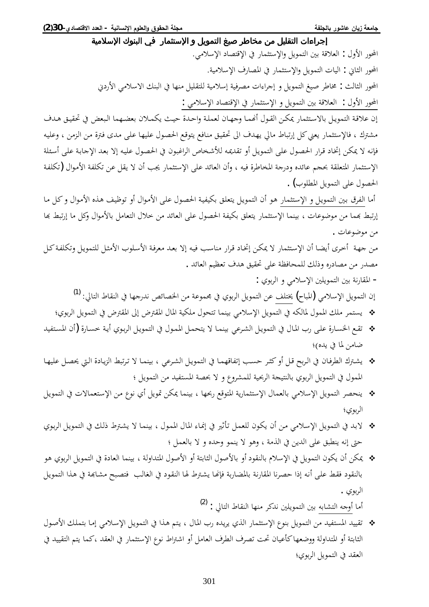إجراءات التقليل من مخاطر صيغ التمويل و الإستثمار في البنوك الإسلامية المحور الأول : العلاقة بين التمويل والإستثمار في الإقتصاد الإسلامي. المحور الثاني : اليات التمويل والإستثمار في المصارف الإسلامية. المحور الثالث : مخاطر صيغ التمويل و إجراءات مصرفية إسلامية للتقليل منها في البنك الاسلامي الأردني المحور الأول : العلاقة بين التمويل و الإستثمار في الإقتصاد الإسلامي : إن علاقة التمويل بالاستثمار يمكن القول أنهما وجهان لعملة واحدة حيث يكملان بعضهما البعض في تحقيق هدف مشترك ، فالإستثمار يعني كل إرتباط مالي يهدف الى تحقيق منافع يتوقع الحصول عليها على مدى فترة من الزمن ، وعليه فإنه لا يمكن إتخاد قرار الحصول على التمويل أو تقديمه للأشخاص الراغبون في الحصول عليه إلا بعد الإجابة على أسئلة الإستثمار المتعلقة بحجم عائده ودرجة المخاطرة فيه ، وأن العائد على الإستثمار يجب أن لا يقل عن تكلفة الأموال (تكلفة الحصول على التمويل المطلوب) . أما الفرق بين التمويل و الإستثمار هو أن التمويل يتعلق بكيفية الحصول على الأموال أو توظيف هذه الأموال و كل ما إرتبط بهما من موضوعات ، بينما الإستثمار يتعلق بكيفة الحصول على العائد من خلال التعامل بالأموال وكل ما إرتبط بما من موضوعات . من جهة أخرى أيضا أن الإستثمار لا يمكن إتخاد قرار مناسب فيه إلا بعد معرفة الأسلوب الأمثل للتمويل وتكلفة كل مصدر من مصادره وذلك للمحافظة على تحقيق هدف تعظيم العائد . - المقارنة بين التمويلين الإسلامي و الربوي : إن التمويل الإسلامي (المباح) يختلف عن التمويل الربوي في مجموعة من الخصائص ندرجها في النقاط التالي: <sup>[\(1](#page-16-0))</sup> مح يستمر ملك الممول لمالكه في التمويل الإسلامي بينما تتحول ملكية المال المقترض إلى المقترض في التمويل الربوي؛ ƾȈǨƬºLjŭ¦À¢) ¨°ƢºLjƻƨºȇ¢ÄȂºƥǂdz¦DzºȇȂǸƬdz¦Ŀ¾ȂºǸŭ¦DzºǸƸƬȇȏƢºǸǼȈƥȆǟǂºnjdz¦DzºȇȂǸƬdz¦Ŀ¾Ƣºŭ¦§°ȄºǴǟ¨°ƢºLjŬ¦ǞºǬƫ ضامن لما في يده)؛ ƢºȀȈǴǟDzºǐŹŖºdz¦¨®ƢºȇDŽdz¦ǖƦƫǂºƫȏƢºǸǼȈƥȆǟǂºnjdz¦DzºȇȂǸƬdz¦ĿƢºǸȀǫƢǨƫ¤ƤºLjƷǂºưǯ¢Dzºǫƶƥǂºdz¦ĿÀƢºǧǂǘdz¦½ŗºnjȇ الممول في التمويل الربوي بالنتيجة الربحية للمشروع و لا بحصة المستفيد من التمويل ؛ DzºȇȂǸƬdz¦Ŀ©ȏƢǸǠƬºLJȍ¦ǺºǷ¸ȂǻÄ¢DzȇȂŤǺǰŻƢǸǼȈƥƢȀްǞǫȂƬŭ¦ƨȇ°ƢǸưƬLJȍ¦¾ƢǸǠdzƢƥȆǷȐLJȍ¦DzȇȂǸƬdz¦ǂǐƸǼȇ الربوي؛ خ لابد في التمويل الإسلامي من أن يكون للعمل تأثير في إنماء المال الممول ، بينما لا يشترط ذلك في التمويل الربوي حتى إنه ينطبق على الدين في الذمة ، وهو لا ينمو وحده و لا بالعمل ؛ ❖ يمكن أن يكون التمويل في الإسلام بالنقود أو بالأصول الثابتة أو الأصول المتداولة ، بينما العادة في التمويل الربوي هو بالنقود فقط على أنه إذا حصرنا المقارنة بالمضاربة فإنحا يشترط لها النقود في الغالب فتصبح مشابحة في هذا التمويل

أما أوجه التشابه بين التمويلين ندكر منها النقاط التالى : <sup>[\(2](#page-16-1))</sup>

الربوي .

¾ȂºǏȋ¦ǮºǴǸƬƥƢºǷ¤ȆǷȐºLJȍ¦DzºȇȂǸƬdz¦Ŀ¦ǀºǿǶƬºȇ¾Ƣºŭ¦§°ǽƾºȇǂȇÄǀdz¦°ƢǸưƬLJȍ¦¸ȂǼƥDzȇȂǸƬdz¦ǺǷƾȈǨƬLjŭ¦ƾȈȈǬƫ الثابتة أو المتداولة ووضعها كأعيان تحت تصرف الطرف العامل أو اشتراط نوع الإستثمار في العقد ،كما يتم التقييد في العقد في التمويل الربوي؛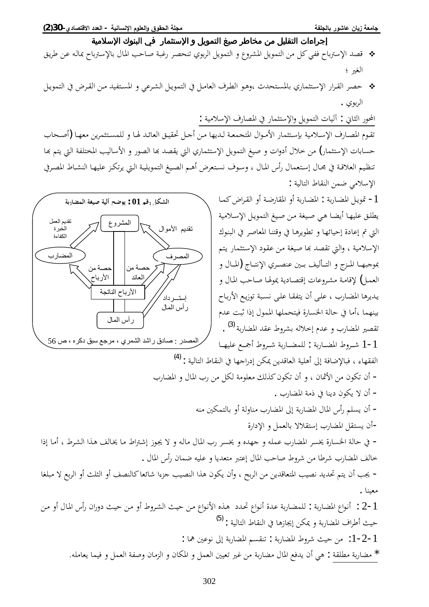- ǪºȇǂǗǺºǟǾºdzƢЬƢƥŗºLJȍƢƥ¾Ƣºŭ¦ƤƷƢºǏƨºƦǣ°ǂºǐƸǼƫÄȂƥǂdz¦DzȇȂǸƬdz¦Â¸Âǂnjŭ¦DzȇȂǸƬdz¦ǺǷ DzǯȆǨǧ¬ƢƥŗLJȍ¦ƾǐǫ الغير ؛
- DzººȇȂǸƬdz¦ĿµǂººǬdz¦ǺººǷƾȈǨƬºLjŭ¦ÂȆǟǂºnjdz¦DzººȇȂǸƬdz¦ĿDzºǷƢǠdz¦»ǂººǘdz¦ȂºǿªƾƸƬººLjŭƢƥİƢǸưƬºLJȍ¦°¦ǂººǬdz¦ǂºǐƷ الربوي .

المحور الثاني : آليات التمويل والإستثمار في المصارف الإسلامية : تقوم المصارف الإسلامية بإستثمار الأموال المتجمعة لديها من أجل تحقيق العائد لها و للمستثمرين معها (أصحاب حسابات الإستثمار) من خلال أدوات و صيغ التمويل الإستثماري التي يقصد بما الصور و الأساليب المختلفة التي يتم بَحا تنظيم العلاقة في مجال إستعمال رأس المال ، وسوف نستعرض أهم الصيغ التمويلية التي يرتكز عليها النشاط المصرفي الإسلامي ضمن النقاط التالية :

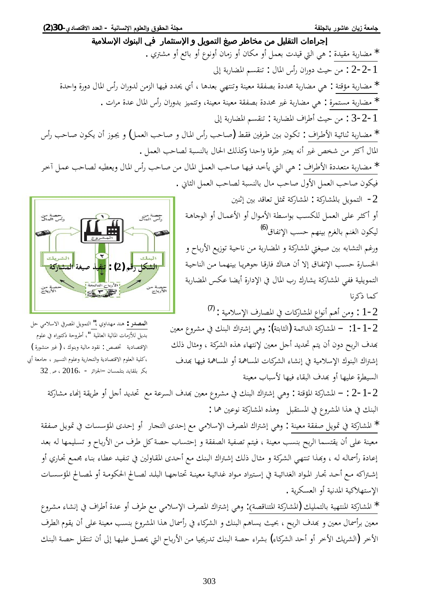إجراءات التقليل من مخاطر صيغ التمويل و الإستثمار في البنوك الإسلامية \* مضاربة مقيدة : هي التي قيدت بعمل أو مكان أو زمان أونوع أو بائع أو مشتري . خ -2 : من حيث دوران رأس المال : تنقسم المضاربة إلى : \* مضاربة مؤقتة : هي مضاربة محددة بصفقة معينة وتنتهي بعدها ، أي يحدد فيها الزمن لدوران رأس المال دورة واحدة \* مضاربة مستمرة : هي مضاربة غير محددة بصفقة معينة معينة، وتتميز بدوران رأس المال عدة مرات . أ −2−2 : من حيث أطراف المضاربة : تنقسم المضاربة إلى \* مضاربة ثنائية الأطراف : تكون بين طرفين فقط (صاحب رأس المال و صاحب العمل) و يجوز أن يكون صاحب رأس المال أكثر من شخص غير أنه يعتبر طرفا واحدا وكذلك الحال بالنسبة لصاحب العمل . \* مضاربة متعددة الأطراف : هي التي يأخد فيها صاحب العمل المال من صاحب رأس المال ويعطيه لصاحب عمل آخر فيكون صاحب العمل الأول صاحب مال بالنسبة لصاحب العمل الثاني . − التمويل بالمشاركة : المشاركة تمثل تعاقد بين إثنين أو أكثر على العمل للكسب بواسطة الأموال أو الأعمال أو الوجاهة حصة من<br>دأس المال ليكون الغنم بالغرم بينهم حسب الإتفاق<sup>[\(6](#page-16-5))</sup>

ورغم التشابه بين صيغتي المشاركة و المضاربة من ناحية توزيع الأرباح و الخسارة حسب الإتفاق إلا أن هناك فارقا جوهريا بينهما من الناحية التمويلية ففي المشاركة يشارك رب المال في الإدارة أيضا عكس المضاربة كما ذكرنا

 $^{(7)}$  $^{(7)}$  $^{(7)}$ : ومن أهم أنواع المشاركات في المصارف الإسلامية  $\cdot 1$  - 2 1−1−2: − المشاركة الدائمة (الثابتة): وهي إشتراك البنك في مشروع معين بِهدف الربح دون أن يتم تحديد أجل معين لإنتهاء هذه الشركة ، ومثال ذلك إشتراك البنوك الإسلامية في إنشاء الشركات المساهمة أو المساهمة فيها بمدف السيطرة عليها أو بهدف البقاء فيها لأسباب معينة

32 بكر بلقايد بتلمسان –الجزائر - 2016، ص

2−1−2 ∶ − المشاركة المؤقتة : وهي إشتراك البنك في مشروع معين بمدف السرعة مع تحديد أجل أو طريقة إنحاء مشاركة البنك في هذا المشروع في المستقبل وهذه المشاركة نوعين هما :

ƨǬǨºǏDzºȇȂŤĿ©ƢºLjLJƚŭ¦ÃƾºƷ¤Â¢ °ƢºƴƬdz¦ÃƾƷ¤ǞǷȆǷȐLJȍ¦»ǂǐŭ¦½¦ŗNj¤ȆǿÂ : ƨǼȈǠǷƨǬǨǏDzȇȂŤĿƨǯ°Ƣnjŭ¦ \* معينة على أن يقتسما الربح بنسب معينة ، فيتم تصفية الصفقة و إحتساب حصة كل طرف من الأرباح و تسليمها له بعد إعادة رأسماله له ، وبهذا تنتهي الشركة و مثال ذلك إشتراك البنك مع أحدى المقاولين في تنفيد عطاء بناء مجمع تجاري أو إشتراكه مع أحد تجار المواد الغدائية في إستيراد مواد غدائية معينة تحتاجها البلد لصالح الحكومة أو لمصالح المؤسسات الإستهلاكية المدنية أو العسكرية .

\* المشاركة المنتهية بالتمليك (المشاركة المتناقصة): وهي إشتراك المصرف الإسلامي مع طرف أو عدة أطراف في إنشاء مشروع معين برأسمال معين و بهدف الربح ، بحيث يساهم البنك و الشركاء في رأسمال هذا المشروع بنسب معينة على أن يقوم الطرف الأخر (الشريك الأخر أو أحد الشركاء) بشراء حصة البنك تدريجيا من الأرباح التي يحصل عليها إلى أن تنتقل حصة البنك



ا**لمصدر :** هند مهداوي ،" التمويل المصرفي الاسلامي حل بديل للأزمات المالية العالمية "، أطروحة دكتوراه في علوم الإقتصادية تخصص : نقود مالية وبنوك ، (غير منشورة ) ،كلية العلوم الاقتصادية والتحارية وعلوم التسيير ، جامعة أبي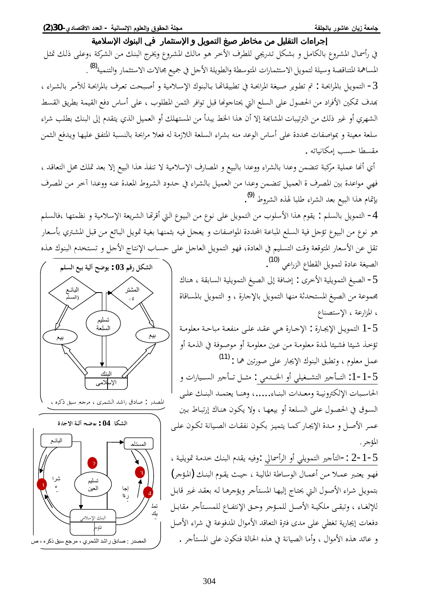# ᥴ᧔ᧃᦓ᧙ҫӂᧈᥲᦿҫ᧒ᦳ ҵᧄᦓ᧙ҫӇᦾ᧓ᧄᦿҫ᧔ᦛᦎᦣᦈᧃᧆᧃᦾ᧔ᧀᦸᦿҫҮҫҥҫᦎҩ

في رأسمال المشروع بالكامل و بشكل تدريجي للطرف الأخر هو مالك المشروع ويخرج البنك من الشركة ،وعلى ذلك تمثل المساهمة المتناقصة وسيلة لتمويل الاستثمارات المتوسطة والطويلة الأجل في جميع محالات الاستثمار والتنمية<sup>(8)</sup> [.](#page-16-7) − التمويل بالمرابحـة : تم تطوير صيغة المرابحـة في تطبيقاتهـا بـالبنوك الإسـلامية و أصبحت تعرف بالمرابحـة للآمـر بالشـراء ، بهدف تمكين الأفراد من الحصول على السلع التي يحتاجونها قبل توافر الثمن المطلوب ، على أساس دفع القيمة بطريق القسط الشهري أو غير ذلك من الترتيبات المشابحة إلا أن هذا الخط يبدأ من المستهلك أو العميل الذي يتقدم إلى البنك بطلب شراء سلعة معينة و بمواصفات محددة على أساس الوعد منه بشراء السلعة اللازمة له فعلا مرابحة بالنسبة المتفق عليها ويدفع الثمن مقسطا حسب إمكانياته .

أي أنحا عملية مركبة تتضمن وعدا بالشراء ووعدا بالبيع و المصارف الإسلامية لا تنفذ هذا البيع إلا بعد تملك محل التعاقد ، فهي مواعدة بين المصرف ة العميل تتضمن وعدا من العميل بالشراء في حدود الشروط المعدة عنه ووعدا أخر من المصرف بإتمام هذا البيع بعد الشراء طلبا لهذه الشروط <sup>[\(9](#page-16-8)</sup>).

4− التمويل بالسلم : يقوم هذا الأسلوب من التمويل على نوع من البيوع التي أقرتها الشريعة الإسلامية و نظمتها ،فالسلم هو نوع من البيوع تؤجل فية السلع المباعة المحددة المواصفات و يعجل فيه بثمنها بغية تمويل البائع من قبل المشترى بأسعار تقل عن الأسعار المتوقعة وقت التسليم في العادة، فهو التمويل العاجل على حساب الإنتاج الأجل و تستخدم البنوك هذه الصيغة عادة لتمويل القطاع الزراعي <sup>[\(10](#page-16-9)</sup>).

أح الصيغ التمويلية الأخرى : إضافة إلى الصيغ التمويلية السابقة ، هناك $5$ محموعة من الصيغ المستحدثة منها التمويل بالإجارة ، و التمويل بالمساقاة ، المزارعة ، الإستصناع

5−1 التمويل الإيجارة : الإحارة هي عقد على منفعة مباحة معلومة تؤخذ شيئا فشيئا لمدة معلومة من عين معلومة أو موصوفة في الذمة أو عمل معلوم ، وتطبق البنوك الإيجار على صورتين هما : <sup>[\(11](#page-16-10))</sup> 5−1 −1: التــأجير التشــغيلي أو الخــدمي : مثــل تــأجير الســيارات و

الحاسبات الإلكترونيـة ومعـدات البنـاء.....، وهنـا يعتمـد البنـك علـي السوق في الحصول على السلعة أو بيعها ، ولا يكون هناك إرتباط بين عمر الأصل و مدة الإيجار كما يتميز بكون نفقات الصيانة تكون على المؤجر .

ك−1 −2 :−التأجير التمويلي أو الرأسمالي :وفيه يقدم البنك خدمة تمويلية ، فهو يعتبر عملا من أعمال الوساطة المالية ، حيث يقوم البنك (المؤجر) بتمويل شراء الأصول التي يحتاج إليها المستأجر ويؤجرها له بعقد غير قابل للإلغاء ، وتبقى ملكية الأصل للمؤجر وحق الإنتفاع للمستأجر مقابل دفعات إيجارية تغطى على مدى فترة التعاقد الأموال المدفوعة في شراء الأصل و عائد هذه الأموال ، وأما الصيانة في هذه الحالة فتكون على المستأجر .



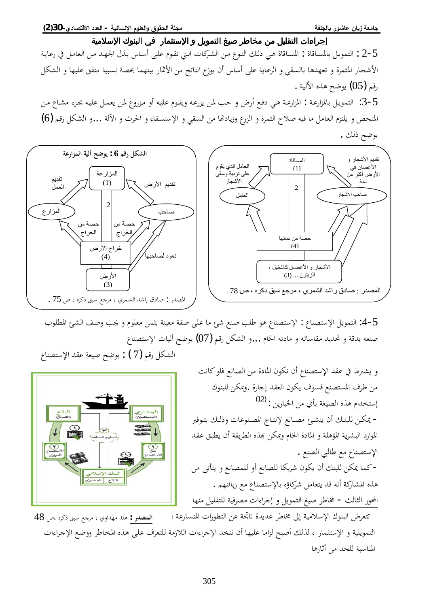|<br>|<br>|الصانع)<br>|

C<br>سياع<br>موازي

 $\begin{picture}(120,10) \put(0,0){\line(1,0){155}} \put(15,0){\line(1,0){155}} \put(15,0){\line(1,0){155}} \put(15,0){\line(1,0){155}} \put(15,0){\line(1,0){155}} \put(15,0){\line(1,0){155}} \put(15,0){\line(1,0){155}} \put(15,0){\line(1,0){155}} \put(15,0){\line(1,0){155}} \put(15,0){\line(1,0){155}} \put(15,0){\line(1,0){155}}$ 

 $\sum$ 

البنك الاسلاه .<br>البائع | المشتري

# ᥴ᧔ᧃᦓ᧙ҫӂᧈᥲᦿҫ᧒ᦳ ҵᧄᦓ᧙ҫӇᦾ᧓ᧄᦿҫ᧔ᦛᦎᦣᦈᧃᧆᧃᦾ᧔ᧀᦸᦿҫҮҫҥҫᦎҩ

ƨºȇƢǟ°ĿDzºǷƢǠdz¦ǺºǷƾºȀŪ¦¾ǀºƥ²ƢºLJ¢ȄºǴǟ¿ȂºǬƫŖºdz¦©Ƣǯǂºnjdz¦ǺºǷ¸ȂºǼdz¦Ǯºdz¯Ȇºǿ¨ƢǫƢºLjŭ¦ : ¨ƢǫƢºLjŭƢƥDzºȇȂǸƬdz¦ : 2-5 الأشحار المثمرة و تعهدها بالسقى و الرعاية على أساس أن يوزع الناتج من الأثمار بينهما بحصة نسبية متفق عليها و الشكل رقم (05) يوضح هذه الألية .

3−5: التمويل بالمزارعة : المزارعة هي دفع أرض و حب لمن يزرعه ويقوم عليه أو مزروع لمن يعمل عليه بجزء مشاع من المتحص و يلتزم العامل ما فيه صلاح الثمرة و الزرع وزيادتها من السقي و الإستسقاء و الحرث و الآلة …و الشكل رقم (6) يوضح ذلك .



1−5: التمويل الإستصناع : الإستصناع هو طلب صنع شئ ما على صفة معينة بثمن معلوم و يجب وصف الشئ المطلوب صنعه بدقة و تحديد مقاساته و مادته الخام …و الشكل رقم (07) يوضح أليات الإستصناع الشكل رقم  $(7)$  : يوضح صيغة عقد الإستصناع

> و يشترط في عقد الإستصناع أن تكون المادة من الصانع فلو كانت من طرف المستصنع فسوف يكون العقد إجارة .ويمكن للبنوك إستخدام هذه الصيغة بأي من الخيارين : <sup>[\(12](#page-16-11)</sup>) - يمكن للبنك أن ينشئ مصانع لإنتاج المصنوعات وذلك بتوفير الموارد البشرية المؤهلة و المادة الخام ويمكن بمذه الطريقة أن يطبق عقد الإستصناع مع طالبي الصنع . - كما يمكن للبنك أن يكون شريكا للصانع أو للمصانع و يتأتى من هذه المشاركة أنه قد يتعامل شركاؤه بالإستصناع مع زبائنهم . المحور الثالث - مخاطر صيغ التمويل و إجراءات مصرفية للتقليل منها

تتعرض البنوك الإسلامية إلى مخاطر عديدة ناتجة عن التطورات المتسارعة ؛ التمويلية و الإستثمار ، لذلك أصبح لزاما عليها أن تتخد الإجراءات اللازمة للتعرف على هذه المخاطر ووضع الإجراءات المناسبة للحد من أثارها ا**لمصدر :** هند مهداوي ، مرجع سبق ذكره ،ص 48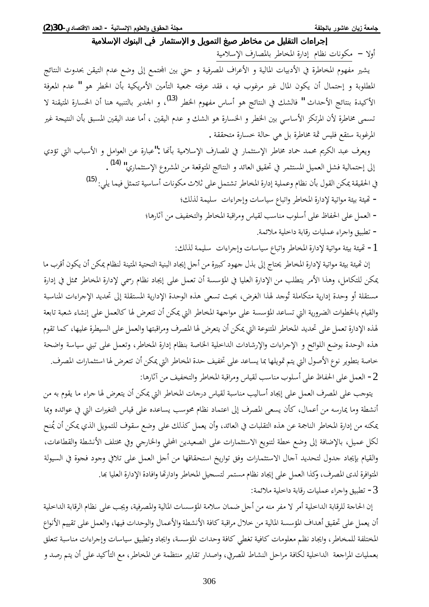## إجراءات التقليل من مخاطر صيغ التمويل و الإستثمار في البنوك الإسلامية أولا – مكونات نظام إدارة المخاطر بالمصارف الإسلامية

يشير مفهوم المخاطرة في الأدبيات المالية و الأعراف المصرفية و حتى بين المجتمع إلى وضع عدم التيقن بحدوث النتائج المطلوبة و إحتمال أن يكون المال غير مرغوب فيه ، فقد عرفته جمعية التأمين الأمريكية بأن الخطر هو " عدم المعرفة الأكيدة بنتائج الأحداث " فالشك في النتائج هو أساس مفهوم الخطر <sup>[\(13](#page-16-12)</sup>)، و الجدير بالتنبيه هنا أن الخسارة المتيقنة لا تسمى مخاطرة لأن المرتكز الأساسي بين الخطر و الخسارة هو الشك و عدم اليقين ، أما عند اليقين المسبق بأن النتيجة غير المرغوبة ستقع فليس ثمة مخاطرة بل هي حالة خسارة متحققة .

ويعرف عبد الكريم محمد حماد مخاطر الإستثمار في المصارف الإسلامية بأنها :"عبارة عن العوامل و الأسباب التي تؤدي إلى إحتمالية فشل العميل المستثمر في تحقيق العائد و النتائج المتوقعة من المشروع الإستثماري" <sup>(14</sup>) . في الحقيقة يمكن القول بأن نظام وعملية إدارة المخاطر تشتمل على ثلاث مكونات أساسية تتمثل فيما يلي: <sup>[\(](#page-16-14)15</sup>) − تحيثة بيئة مواتية لإدارة المخاطر واتباع سياسات وإجراءات سليمة لذلك؛ − العمل على الحفاظ على أسلوب مناسب لقياس ومراقبة المخاطر والتخفيف من آثارها؛ - تطبيق واجراء عمليات رقابة داخلية ملائمة.

أ – تحيثة بيئة مواتية لإدارة المخاطر واتباع سياسات وإجراءات سليمة لذلك:

إن تحيئة بيئة مواتية لإدارة المخاطر يحتاج إلى بذل جهود كبيرة من أجل إيجاد البنية التحتية المتينة لنظام يمكن أن يكون أقرب ما عكن للتكامل، وهذا الأمر يتطلب من الإدارة العليا في المؤسسة أن تعمل على إيجاد نظام رسمي لإدارة المخاطر ممثل في إدارة مستقلة أو وحدة إدارية متكاملة تُوجد لهذا الغرض، بحيث تسعى هذه الوحدة الإدارية المستقلة إلى تحديد الإجراءات المناسبة والقيام بالخطوات الضرورية التي تساعد المؤسسة على مواجهة المخاطر التي يمكن أن تتعرض لها كالعمل على إنشاء شعبة تابعة لهذه الإدارة تعمل على تحديد المخاطر المتنوعة التي يمكن أن يتعرض لها المصرف ومراقبتها والعمل على السيطرة عليها، كما تقوم هذه الوحدة بوضع اللوائح و الإجراءات والإرشادات الداخلية الخاصة بنظام إدارة المخاطر، وتعمل على تبني سياسة واضحة خاصة بتطوير نوع الأصول التي يتم تمويلها بما يساعد على تخفيف حدة المخاطر التي يمكن أن تتعرض لها استثمارات المصرف. م • العمل على الحفاظ على أسلوب مناسب لقياس ومراقبة المخاطر والتخفيف من آثارها: ·

يتوجب على المصرف العمل على إيجاد أساليب مناسبة لقياس درجات المخاطر التي يمكن أن يتعرض لها جراء ما يقوم به من أنشطة وما يمارسه من أعمال، كأن يسعى المصرف إلى اعتماد نظام محوسب يساعده على قياس التغيرات التي في عوائده وبما بمكنه من إدارة المخاطر الناجمة عن هذه التقلبات في العائد، وأن يعمل كذلك على وضع سقوف للتمويل الذي يمكن أن يُمنح لكل عميل، بالإضافة إلى وضع خطة لتنويع الاستثمارات على الصعيدين المحلي والخارجي وفي مختلف الأنشطة والقطاعات، والقيام بإيجاد جدول لتحديد آجال الاستثمارات وفق تواريخ استحقاقها من أجل العمل على تلافي وجود فجوة في السيولة المتوافرة لدى المصرف، وكذا العمل على إيجاد نظام مستمر لتسجيل المخاطر وادارتها وافادة الإدارة العليا بها. 3 - تطبيق واجراء عمليات رقابة داخلية ملائمة:

إن الحاجة للرقابة الداخلية أمر لا مفر منه من أجل ضمان سلامة المؤسسات المالية والمصرفية، ويجب على نظام الرقابة الداخلية أن يعمل على تحقيق أهداف المؤسسة المالية من خلال مراقبة كافة الأنشطة والأعمال والوحدات فيها، والعمل على تقييم الأنواع المختلفة للمخاطر، وايجاد نظم معلومات كافية تغطي كافة وحدات المؤسسة، وايجاد وتطبيق سياسات وإجراءات مناسبة تتعلق بعمليات المراجعة الداخلية لكافة مراحل النشاط المصرفي، واصدار تقارير منتظمة عن المخاطر، مع التأكيد على أن يتم رصد و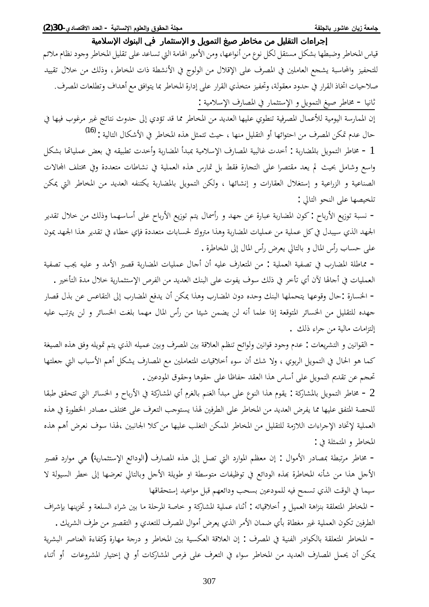قياس المخاطر وضبطها بشكل مستقل لكل نوع من أنواعها، ومن الأمور الهامة التي تساعد على تقليل المخاطر وجود نظام ملائم للتحفيز والمحاسبة يشحع العاملين في المصرف على الإقلال من الولوج في الأنشطة ذات المخاطر، وذلك من خلال تقييد صلاحيات اتخاذ القرار في حدود معقولة، وتحفيز متخذي القرار على إدارة المخاطر بما يتوافق مع أهداف وتطلعات المصرف. ثانيا - مخاطر صيغ التمويل و الإستثمار في المصارف الإسلامية :

إن الممارسة اليومية للأعمال المصرفية تنطوي عليها العديد من المخاطر مما قد تؤدي إلى حدوث نتائج غير مرغوب فيها في حال عدم تمكن المصرف من احتوائها أو التقليل منها ، حيث تتمثل هذه المخاطر في الأشكال التالية : <sup>[\(1](#page-16-15)6</sup>)

أ - مخاطر التمويل بالمضاربة : أخدت غالبية المصارف الإسلامية بمبدأ المضاربة وأخدت تطبيقه في بعض عملياتما بشكل واسع وشامل بحيث لم يعد مقتصرا على التجارة فقط بل تمارس هذه العملية في نشاطات متعددة وفي مختلف المحالات الصناعية و الزراعية و إستغلال العقارات و إنشائها ، ولكن التمويل بالمضاربة يكتنفه العديد من المخاطر التي يمكن تلخيصها على النحو التالي :

− نسبة توزيع الأرباح : كون المضاربة عبارة عن جهد و رأسمال يتم توزيع الأرباح على أساسهما وذلك من خلال تقدير الجهد الذي سيبدل في كل عملية من عمليات المضاربة وهذا متروك لحسابات متعددة فإي خطاء في تقدير هذا الجهد يمون على حساب رأس المال و بالتالي يعرض رأس المال إلى المخاطرة .

– مماطلة المضارب في تصفية العملية : من المتعارف عليه أن أجال عمليات المضاربة قصير الأمد و عليه يجب تصفية العمليات في أجالها لآن أي تأخر في ذلك سوف يفوت على البنك العديد من الفرص الإستثمارية خلال مدة التأخير . − الخسارة :حال وقوعها يتحملها البنك وحده دون المضارب وهذا يمكن أن يدفع المضارب إلى التقاعس عن بذل قصار جهده للتقليل من الخسائر المتوقعة إذا علما أنه لن يضمن شيئا من رأس المال مهما بلغت الخسائر و لن يترتب عليه إلتزامات مالية من جراء ذلك .

− القوانين و التشريعات : عدم وجود قوانين ولوائح تنظم العلاقة بين المصرف وبين عميله الذي يتم تمويله وفق هذه الصيغة كما هو الحال في التمويل الربوي ، ولا شك أن سوءِ أخلاقيات المتعاملين مع المصارف يشكل أهم الأسباب التي جعلتها تحجم عن تقديم التمويل على أساس هذا العقد حفاظا على حقوها وحقوق المودعين .

 $2$  − مخاطر التمويل بالمشاركة : يقوم هذا النوع على مبدأ الغنم بالغرم أي المشاركة في الأرباح و الخسائر التي تتحقق طبقا للحصة المتفق عليها مما يفرض العديد من المخاطر على الطرفين لهذا يستوجب التعرف على مختلف مصادر الخطورة في هذه العملية لإتخاد الإجراءات اللازمة للتقليل من المخاطر الممكن التغلب عليها من كلا الجانبين ،لهذا سوف نعرض أهم هذه المخاطر و المتمثلة في :

– مخاطر مرتبطة بمصادر الأموال : إن معظم الموارد التي تصل إلى هذه المصارف (الودائع الإستثمارية) هي موارد قصير الأجل هذا من شأنه المخاطرة بمذه الودائع في توظيفات متوسطة او طويلة الأجل وبالتالي تعرضها إلى خطر السيولة لا سيما في الوقت الذي تسمح فيه للمودعين بسحب ودائعهم قبل مواعيد إستحقاقها

− المخاطر المتعلقة بنزاهة العميل و أخلاقياته : أثناء عملية المشاركة و خاصة المرحلة ما بين شراء السلعة و تخزينها بإشراف الطرفين تكون العملية غير مغطاة بأي ضمان الأمر الذي يعرض أموال المصرف للتعدي و التقصير من طرف الشريك . − المخاطر المتعلقة بالكوادر الفنية في المصرف : إن العلاقة العكسية بين المخاطر و درجة مهارة وكفاءة العناصر البشرية عكن أن يحمل المصارف العديد من المخاطر سواء في التعرف على فرص المشاركات أو في إختيار المشروعات أو أتناء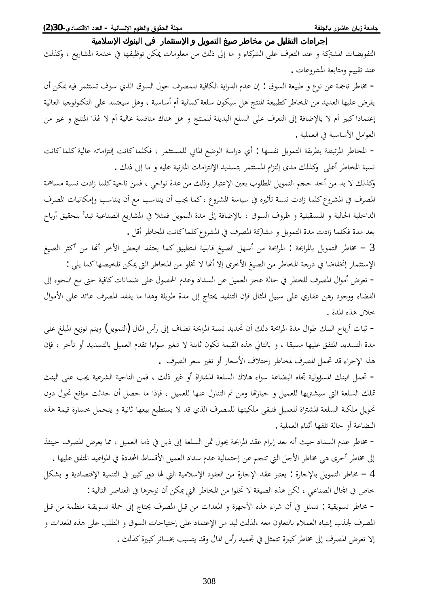التفويضات المشتركة و عند التعرف على الشركاء و ما إلى ذلك من معلومات يمكن توظيفها في خدمة المشاريع ، وكذلك عند تقييم ومتابعة المشروعات .

− مخاطر ناجمة عن نوع و طبيعة السوق : إن عدم الدراية الكافية للمصرف حول السوق الذي سوف تستثمر فيه يمكن أن يفرض عليها العديد من المخاطر كطبيعة المنتج هل سيكون سلعة كمالية أم أساسية ، وهل سيعتمد على التكنولوجيا العالية إعتمادا كبير أم لا بالإضافة إلى التعرف على السلع البديلة للمنتج و هل هناك منافسة عالية أم لا لهذا المنتج و غير من العوامل الأساسية في العملية .

− المخاطر المرتبطة بطريقة التمويل نفسها : أي دراسة الوضع المالي للمستثمر ، فكلما كانت إلتزاماته عالية كلما كانت نسبة المخاطر أعلى وكذلك مدى إلتزام المستثمر بتسديد الإلتزامات المترتبة عليه و ما إلى ذلك .

وكذلك لا بد من أخد حجم التمويل المطلوب بعين الإعتبار وذلك من عدة نواحي ، فمن ناحية كلما زادت نسبة مساهمة المصرف في المشروع كلما زادت نسبة تأثيره في سياسة المشروع ، كما يجب أن يتناسب مع أن يتناسب وإمكانيات المصرف الداخلية الحالية و المستقبلية و ظروف السوق ، بالإضافة إلى مدة التمويل فمثلا في المشاريع الصناعية تبدأ بتحقيق أرباح بعد مدة فكلما زادت مدة التمويل و مشاركة المصرف في المشروع كلماكانت المخاطر أقل .

خاطر التمويل بالمرابحة : المرابحة من أسهل الصيغ قابلية للتطبيق كما يعتقد البعض الأخر أنها من أكثر الصيغ = الإستثمار إنخفاضا في درجة المخاطر من الصيغ الأخرى إلا أنها لا تخلو من المخاطر التي يمكن تلخيصها كما يلي :

− تعرض أموال المصرف للخطر في حالة عجز العميل عن السداد وعدم الحصول على ضمانات كافية حتى مع اللجوء إلى القضاء ووجود رهن عقاري على سبيل المثال فإن التنفيد يحتاج إلى مدة طويلة وهذا ما يفقد المصرف عائد على الأموال خلال هذه المدة .

− ثبات أرباح البنك طوال مدة المرابحة ذلك أن تحديد نسبة المرابحة تضاف إلى رأس المال (التمويل) ويتم توزيع المبلغ على مدة التسديد المتفق عليها مسبقا ، و بالتالي هذه القيمة تكون ثابتة لا تتغير سواءا تقدم العميل بالتسديد أو تأخر ، فإن هذا الإجراء قد تحمل المصرف لمخاطر إختلاف الأسعار أو تغير سعر الصرف .

− تحمل البنك المسؤولية تجاه البضاعة سواء هلاك السلعة المشتراة أو غير ذلك ، فمن الناحية الشرعية يجب على البنك تملك السلعة التي سيشتريها للعميل و حيازتها ومن ثم التنازل عنها للعميل ، فإذا ما حصل أن حدثت موانع تحول دون تحويل ملكية السلعة المشتراة للعميل فتبقى ملكيتها للمصرف الذي قد لا يستطيع بيعها ثانية و يتحمل خسارة قيمة هذه البضاعة أو حالة تلفها أثناء العملية .

− مخاطر عدم السداد حيث أنه بعد إبرام عقد المرابحة يحول ثمن السلعة إلى ذين في ذمة العميل ، مما يعرض المصرف حينئذ إلى مخاطر أخرى هي مخاطر الأجل التي تنجم عن إحتمالية عدم سداد العميل الأقساط المحددة في المواعيد المتفق عليها . ل – مخاطر التمويل بالإجارة : يعتبر عقد الإجارة من العقود الإسلامية التي لها دور كبير في التنمية الإقتصادية و بشكل خاص في المجال الصناعي ، لكن هذه الصيغة لا تخلوا من المخاطر التي يمكن أن نوجزها في العناصر التالية :

– مخاطر تسويقية : تتمثل في أن شراء هذه الأجهزة و المعدات من قبل المصرف يحتاج إلى حملة تسويقية منظمة من قبل المصرف لجذب إنتباه العملاء بالتعاون معه ،لذلك لبد من الإعتماد على إحتياحات السوق و الطلب على هذه المعدات و إلا تعرض المصرف إلى مخاطر كبيرة تتمثل في تجميد رأس المال وقد يتسبب بخسائر كبيرة كذلك .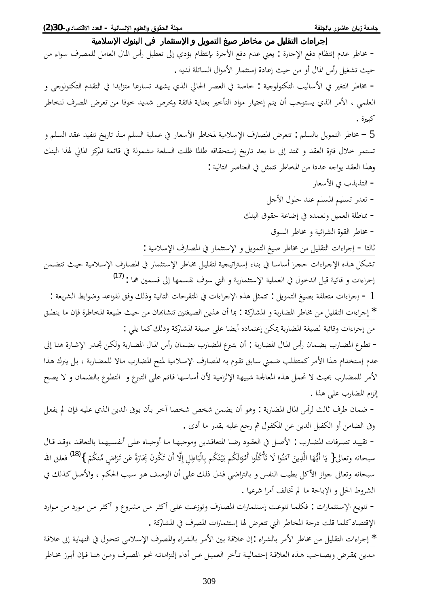## ᥴ᧔ᧃᦓ᧙ҫӂᧈᥲᦿҫ᧒ᦳ ҵᧄᦓ᧙ҫӇᦾ᧓ᧄᦿҫ᧔ᦛᦎᦣᦈᧃᧆᧃᦾ᧔ᧀᦸᦿҫҮҫҥҫᦎҩ

− مخاطر عدم إنتظام دفع الإجارة : يعني عدم دفع الأجرة بإنتظام يؤدي إلى تعطيل رأس المال العامل للمصرف سواء من حيث تشغيل رأس المال أو من حيث إعادة إستثمار الأموال السائلة لديه . - مخاطر التغير في الأساليب التكنولوجية : خاصة في العصر الحالي الذي يشهد تسارعا متزايدا في التقدم التكنولوجي و العلمي ، الأمر الذي يستوجب أن يتم إختيار مواد التأخير بعناية فائقة وبحرص شديد خوفا من تعرض المصرف لنخاطر كبيرة .  $5$  — مخاطر التمويل بالسلم : تتعرض المصارف الإسلامية لمخاطر الأسعار في عملية السلم منذ تاريخ تنفيد عقد السلم و تستمر خلال فترة العقد و تمتد إلى ما بعد تاريخ إستحقاقه طالما ظلت السلعة مشمولة في قائمة المركز المالي لهذا البنك وهذا العقد يواجه عددا من المخاطر تتمثل في العناصر التالية : – التذبذب في الأسعار - تعدر تسليم المسلم عند حلول الأجل - مماطلة العميل ونعمده في إضاعة حقوق البنك - مخاطر القوة الشرائية و مخاطر السوق ثالثا - إجراءات التقليل من مخاطر صيغ التمويل و الإستثمار في المصارف الإسلامية : تشكل هذه الإجراءات حجرا أساسا في بناء إستراتيجية لتقليل مخاطر الإستثمار في المصارف الإسلامية حيث تتضمن إجراءات و قائية قبل الدخول في العملية الإستثمارية و التي سوف نقسمها إلى قسمين هما : <sup>[\(17](#page-16-16)</sup>) : إجراءات متعلقة بصيغ التمويل : تتمثل هذه الإجراءات في المتقرحات التالية وذلك وفق لقواعد وضوابط الشريعة ". ǪƦǘǼȇƢǷÀƜǧ¨ǂǗƢƼŭ¦ƨǠȈƦǗƮȈƷǺǷÀƢđƢnjƬƫśƬǤȈǐdz¦ǺȇǀǿÀ¢ƢŠ :ƨǯ°Ƣnjŭ¦Âƨƥ°Ƣǔŭ¦ǂǗƢűǺǷDzȈǴǬƬdz¦©¦ ¦ǂƳ¤ \* من إجراءات وقائية لصيغة المضاربة يمكن إعتماده أيضا على صيغة المشاركة وذلك كما يلي : − تطوع المضارب بضمان رأس المال المضاربة : أن يتبرع المضارب بضمان رأس المال المضاربة ولكن تجدر الإشارة هنا إلى عدم إستخدام هذا الأمر كمتطلب ضمني سابق تقوم به المصارف الإسلامية لمنح المضارب مالا للمضاربة ، بل يترك هذا الأمر للمضارب بحيث لا تحمل هذه المعالجة شبيهة الإلزامية لأن أساسها قائم على التبرع و التطوع بالضمان و لا يصح إلزام المضارب على هذا . – ضمان طرف ثالث لرأس المال المضاربة : وهو أن يضمن شخص شخصا آخر بأن يوفي الدين الذي عليه فإن لم يفعل وفي الضامن أو الكفيل الدين عن المكفول ثم رجع عليه بقدر ما أدى . − تقييد تصرفات المضارب : الأصل في العقود رضا المتعاقدين وموجبها ما أوجباه على أنفسيهما بالتعاقد ،وقد قال

سبحانه وتعالى{ يَا أَيُّهَا الَّذِينَ آمَنُوا لَا تَأْكُلُوا أَمْوَالَكُم بَيْنَكُم بِالْبَاطِلِ إِلَّا أَن تَكُونَ بِخَارَةً عَن تَرَاضٍ مِّنكُمْ }<sup>[\(18](#page-16-17))</sup> فعلق الله ت<br>ا È Ê È ب<br>أ ِ<br>یا Ì È È È È È Ǽ Ì ب<br>أ È Ì سبحانه وتعالى جواز الأكل بطيب النفس و بالتراضي فدل ذلك على أن الوصف هو سبب الحكم ، والأصل كذلك في الشروط الحل و الإباحة ما لم تخالف أمرا شرعيا .

− تنويع الإستثمارات : فكلما تنوعت إستثمارات المصارف وتوزعت على أكثر من مشروع و أكثر من مورد من موارد الإقتصاد كلما قلت درجة المخاطر التى تتعرض لها إستثمارات المصرف في المشاركة .

\* إجراءات التقليل من مخاطر الأمر بالشراء :إن علاقة بين الأمر بالشراء والمصرف الإسلامي تتحول في النهاية إلى علاقة مدين بمقرض ويصاحب هذه العلاقة إحتمالية تأخر العميل عن أداء إلتزاماته نحو المصرف ومن هنا فإن أبرز مخاطر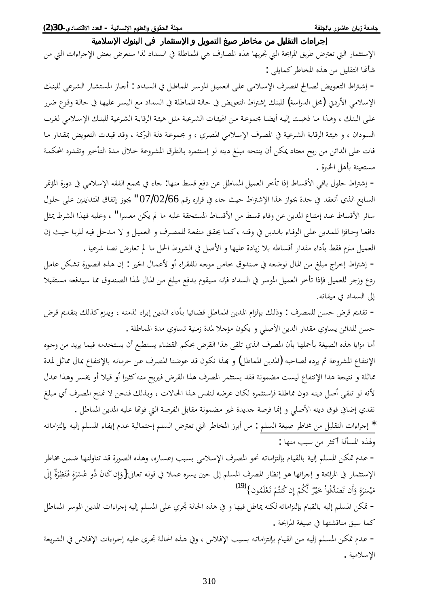الإستثمار التي تعترض طريق المرابحة التي تحريها هذه المصارف هي المماطلة في السداد لذا سنعرض بعض الإجراءات التي من شأنها التقليل من هذه المخاطر كمايلي :

− إشتراط التعويض لصالح المصرف الإسلامي على العميل الموسر المماطل في السداد : أجاز المستشار الشرعي للبنك الإسلامي الأردني (محل الدراسة) للبنك إشتراط التعويض في حالة المماطلة في السداد مع اليسر عليها في حالة وقوع ضرر على البنك ، وهذا ما ذهبت إليه أيضا مجموعة من الهيئات الشرعية مثل هيئة الرقابة الشرعية للبنك الإسلامي لغرب السودان ، و هيئة الرقابة الشرعية في المصرف الإسلامي المصري ، و مجموعة دلة البركة ، وقد قيدت التعويض بمقدار ما فات على الدائن من ربح معتاد يمكن أن ينتجه مبلغ دينه لو إستثمره بالطرق المشروعة خلال مدة التأخير وتقدره المحكمة مستعينة بأهل الخبرة .

− إشتراط حلول باقي الأقساط إذا تأخر العميل المماطل عن دفع قسط منها: جاء في مجمع الفقه الإسلامي في دورة المؤتمر السابع الذي أنعقد في جدة بجواز هذا الإشتراط حيث جاء في قراره رقم 07/02/66 " يجوز إتفاق المتداينين على حلول سائر الأقساط عند إمتناع المدين عن وفاء قسط من الأقساط المستحقة عليه ما لم يكن معسرا " ، وعليه فهذا الشرط يمثل دافعا وحافزا للمدين على الوفاء بالدين في وقته ،كما يحقق منفعة للمصرف و العميل و لا مدخل فيه للربا حيث إن العميل ملزم فقط بأداء مقدار أقساطه بلا زيادة عليها و الأصل في الشروط الحل ما لم تعارض نصا شرعيا .

− إشتراط إخراج مبلغ من المال لوضعه في صندوق خاص موجه للفقراء أو لأعمال الخير : إن هذه الصورة تشكل عامل ردع وزجر للعميل فإذا تأخر العميل الموسر في السداد فإنه سيقوم بدفع مبلغ من المال لهذا الصندوق مما سيدفعه مستقبلا إلى السداد في ميقاته.

− تقديم قرض حسن للمصرف : وذلك بإلزام المدين المماطل قضائيا بأداء الدين إبراء لذمته ، ويلزم كذلك بتقديم قرض حسن للدائن يساوي مقدار الدين الأصلي و يكون مؤجلا لمدة زمنية تساوي مدة المماطلة .

أما مزايا هذه الصيغة بأجملها بأن المصرف الذي تلقى هذا القرض بحكم القضاء يستطيع أن يستخدمه فيما يريد من وجوه الإنتفاع المشروعة ثم يرده لصاحبه (المدين المماطل) و بهذا نكون قد عوضنا المصرف عن حرمانه بالإنتفاع بمال مماثل لمدة مماثلة و نتيجة هذا الإنتفاع ليست مضمونة فقد يستثمر المصرف هذا القرض فيربح منه كثيرا أو قيلا أو يخسر وهذا عدل لأنه لو تلقى أصل دينه دون مماطلة فإستثمره لكان عرضه لنفس هذا الحالات ، وبذلك فنحن لا نمنح المصرف أي مبلغ نقدي إضافي فوق دينه الأصلى و إنما فرصة جديدة غير مضمونة مقابل الفرصة التي فوتّما عليه المدين المماطل .

ǾºƫƢǷ¦DŽƬdzƜƥǾºȈdz¤ǶǴºLjŭ¦ ƢºǨȇ¤¿ƾºǟƨȈdzƢǸƬƷ¤ǶǴLjdz¦µŗǠƫŖdz¦ǂǗƢƼŭ¦±ǂƥ¢ǺǷ : ǶǴLjdz¦ƨǤȈǏǂǗƢűǺǷDzȈǴǬƬdz¦©¦ ¦ǂƳ¤ \* ولهذه المسألة أكثر من سبب منها :

− عدم تمكن المسلم إلية بالقيام بإلتزاماته نحو المصرف الإسلامي بسبب إعساره، وهذه الصورة قد تناولنها ضمن مخاطر الإستثمار في المرابحة و إجرائها هو إنظار المصرف المسلم إلى حين يسره عملا في قوله تعالى{وَإِن كَانَ ذُو عُسْرَةٍ فَنَظِرَةٌ إِلَى ر<br>ا  $\vdots$ È È Ì Ê ا<br>چ È مَيْسَرَةٍ وَأَن تَصَدَّقُواْ خَيْرٌ لَّكُمْ إِن كُنتُمْ تَعْلَمُون}<sup>[\(19](#page-16-18))</sup> Ì Ì Ê ¤ Ì ش<br>ل Ì È È È ر<br>نم È Ȉ È

− تمكن المسلم إليه بالقيام بإلتزاماته لكنه يماطل فيها و في هذه الحالة تحري على المسلم إليه إجراءات المدين الموسر المماطل كما سبق مناقشتها في صيغة المرابحة .

− عدم تمكن المسلم إليه من القيام بإلتزاماته بسبب الإفلاس ، وفي هذه الحالة تجرى عليه إجراءات الإفلاس في الشريعة الإسلامية .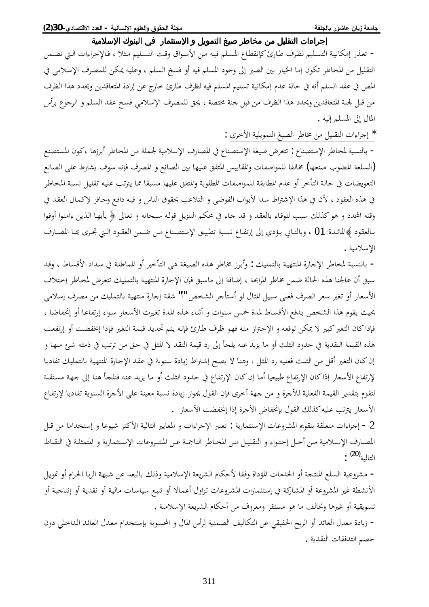## ᥴ᧔ᧃᦓ᧙ҫӂᧈᥲᦿҫ᧒ᦳ ҵᧄᦓ᧙ҫӇᦾ᧓ᧄᦿҫ᧔ᦛᦎᦣᦈᧃᧆᧃᦾ᧔ᧀᦸᦿҫҮҫҥҫᦎҩ

− تعذر إمكانية التسليم لظرف طارئ كإنقطاع المسلم فيه من الأسواق وقت التسليم مثلا ، فالإجراءات التي تضمن التقليل من المخاطر تكون إما الخيار بين الصبر إلى وجود المسلم فيه أو فسخ السلم ، وعليه يمكن للمصرف الإسلامي في المص في عقد السلم أنه في حالة عدم إمكانية تسليم المسلم فيه لظرف طارئ خارج عن إرادة المتعاقدين ويحدد هذا الظرف من قبل لجنة المتعاقدين ويحدد هذا الظرف من قبل لجنة مختصة ، يحق للمصرف الإسلامي فسخ عقد السلم و الرجوع برأس المال إلى المسلم إليه .

\* إجراءات التقليل من مخاطر الصيغ التمويلية الأخرى :

- بالنسبة لمخاطر الإستصناع : تتعرض صيغة الإستصناع في المصارف الإسلامية لجملة من المخاطر أبرزها ،كون المستصنع فالسلعة المطلوب صنعها) مخالفا للمواصفات والمقاييس المتفق عليها بين الصانع و المصرف فإنه سوف يشترط على الصانع) التعويضات في حالة التأخر أو عدم المطابقة للمواصفات المطلوبة والمتفق عليها مسبقا مما يترتب عليه تقليل نسبة المخاطر في هذه العقود ، لأن في هذا الإشتراط سدا لأبواب الفوضى و التلاعب بحقوق الناس و فيه دافع وحافز لإكمال العقد في وقته المحدد و هو كذلك سبب للوفاء بالعقد و قد جاء في محكم التنزيل قوله سبحانه و تعالى ﴿ يأيها الذين ءامنوا أوفوا بالعقود ﴾المائدة: 01 ، وبالتـالي يـؤدي إلى إرتفـاع نسـبة تطبيـق الإستصـناع مـن ضـمن العقـود الـتي تجـري بحـا المصـارف الإسلامية .

− بالنسبة لمخاطر الإجارة المنتهية بالتمليك : وأبرز مخاطر هذه الصيغة هي التأخير أو المماطلة في سداد الأقساط ، وقد سبق أن عالجنا هذه الحالة ضمن مخاطر المرابحة ، إضافة إلى ماسبق فإن الإجارة المنتهية بالتمليك تتعرض لمخاطر إختلاف الأسعار أو تغير سعر الصرف فعلى سبيل المثال لو أستأجر الشخص "أ" شقة إجارة منتهية بالتمليك من مصرف إسلامي بحيث يقوم هذا الشخص بدفع الأقساط لمدة خمس سنوات و أثناء هذه المدة تغيرت الأسعار سواء إرتفاعا أو إنخفاضا ، فإذاكان التغير كبير لا يمكن توقعه و الإحتراز منه فهو ظرف طارئ فإنه يتم تحديد قيمة التغير فإذا إنخفضت أو إرتفعت هذه القيمة النقدية في حدود الثلث أو ما يزيد عنه يلجأ إلى رد قيمة النقد لا المثل في حق من ترتب في ذمته شئ منها و إن كان التغير أقل من الثلث فعليه رد المثل ، وهنا لا يصح إشتراط زيادة سنوية في عقد الإجارة المنتهية بالتمليك تفاديا لإرتفاع الأسعار إذاكان الإرتفاع طبيعيا أما إن كان الإرتفاع في حدود الثلث أو ما يزيد عنه فنلجأ هنا إلى جهة مستقلة لتقوم بتقدير القيمة الفعلية للأجرة و من جهة أخرى فإن القول بجواز زيادة نسبة معينة على الأجرة السنوية تفاديا لإرتفاع الأسعار يترتب عليه كذلك القول بإنخفاض الأجرة إذا إنخفضت الأسعار .

ح إجراءات متعلقة بتقويم المشروعات الإستثمارية : تعتبر الإجراءات و المعايير التالية الأكثر شيوعا و إستخداما من قبل المصارف الإسلامية من أجل إحتواء و التقليل من المحاطر الناجمة عن المشروعات الإستثمارية و المتمثلـة في النقـاط التالية<sup>[\(20](#page-16-19))</sup> :

− مشروعية السلع المنتجة أو الخدمات المؤداة وفقا لأحكام الشريعة الإسلامية وذلك بالبعد عن شبهة الربا الحرام أو تمويل الأنشطة غير المشروعة أو المشاركة في إستثمارات المشروعات تزاول أعمالا أو تتبع سياسات مالية أو نقدية أو إنتاجية أو تسويقية أو غيرها وتخالف ما هو مستقر ومعروف من أحكام الشريعة الإسلامية .

− زيادة معدل العائد أو الربح الحقيقي عن التكاليف الضمنية لرأس المال و المحسوبة بإستخدام معدل العائد الداخلي دون خصم التدفقات النقدية .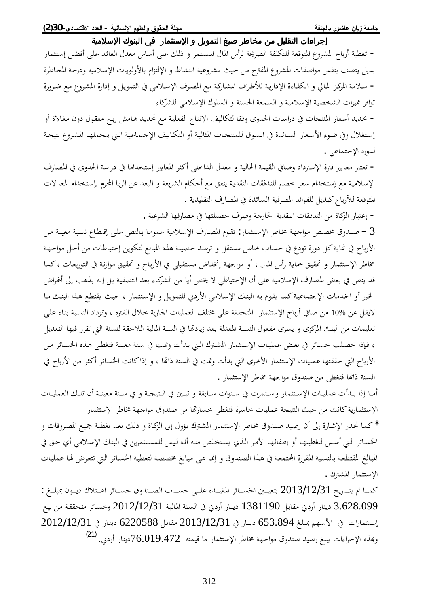− تغطية أرباح المشروع المتوقعة للتكلفة الصريحة لرأس المال المستثمر و ذلك على أساس معدل العائد على أفضل إستثمار بديل يتصف بنفس مواصفات المشروع المقترح من حيث مشروعية النشاط و الإلتزام بالأولويات الإسلامية ودرجة المخاطرة − سلامة المركز المالي و الكفاءة الإدارية للأطراف المشاركة مع المصرف الإسلامي في التمويل و إدارة المشروع مع ضرورة توافر مميزات الشخصية الإسلامية و السمعة الحسنة و السلوك الإسلامي للشركاء

− تحديد أسعار المنتجات في دراسات الجدوى وفقا لتكاليف الإنتاج الفعلية مع تحديد هامش ربح معقول دون مغالاة أو إستغلال وفي ضوء الأسعار السائدة في السوق للمنتحات المثالية أو التكاليف الإجتماعية التي يتحملها المشروع نتيحة لدوره الإجتماعي .

− تعتبر معايير فترة الإسترداد وصافي القيمة الحالية و معدل الداخلي أكثر المعايير إستخداما في دراسة الجدوى في المصارف الإسلامية مع إستخدام سعر خصم للتدفقات النقدية يتفق مع أحكام الشريعة و البعد عن الربا المحرم بإستخدام المعدلات المتوقعة للأرباح كبديل للفوائد المصرفية السائدة في المصارف التقليدية .

− إعتبار الزكاة من التدفقات النقدية الخارجة وصرف حصيلتها في مصارفها الشرعية .

صندوق مخصص مواجهة مخاطر الإستثمار: تقوم المصارف الإسلامية عموما بالنص على إقتطاع نسبة معينة من  $3$ الأرباح في نهاية كل دورة تودع في حساب خاص مستقل و ترصد حصيلة هذه المبالغ لتكوين إحتياطات من أجل مواجهة مخاطر الإستثمار و تحقيق حماية رأس المال ، أو مواجهة إنخفاض مستقبلي في الأرباح و تحقيق موازنة في التوزيعات ، كما قد ينص في بعض المصارف الإسلامية على أن الإحتياطي لا يخص أيا من الشركاء بعد التصفية بل إنه يذهب إلى أغراض الخير أو الخدمات الإجتماعية كما يقوم به البنك الإسلامي الأردني للتمويل و الإستثمار ، حيث يقتطع هذا البنك ما لايقل عن 10% من صافي أرباح الإستثمار المتحققة على مختلف العمليات الجارية خلال الفترة ، وتزداد النسبة بناء على تعليمات من البنك المركزي و يسري مفعول النسبة المعدلة بعد زيادتها في السنة المالية اللاحقة للسنة التي تقرر فيها التعديل ، فإذا حصلت خسائر في بعض عمليات الإستثمار المشترك التي بدأت وتمت في سنة معينة فتغطى هذه الخسائر من الأرباح التي حققتها عمليات الإستثمار الأخرى التي بدأت وتمت في السنة ذاتها ، و إذاكانت الخسائر أكثر من الأرباح في السنة ذاتَّما فتغطى من صندوق مواجهة مخاطر الإستثمار .

أمـا إذا بـدأت عمليـات الإسـتثمار واسـتمرت في سـنوات سـابقة و تبـين في النتيجـة و في سـنة معينـة أن تلـك العمليـات الإستثمارية كانت من حيث النتيجة عمليات خاسرة فتغطى خسارتها من صندوق مواجهة مخاطر الإستثمار

\* كما تجدر الإشارة إلى أن رصيد صندوق مخاطر الإستثمار المشترك يؤول إلى الزكاة و ذلك بعد تغطية جميع المصروفات و الخسائر التي أسس لتغطيتها أو إطفائها الأمر الذي يستخلص منه أنه ليس للمستثمرين في البنك الإسلامي أي حق في المبالغ المقتطعة بالنسبة المقررة المجتمعة في هذا الصندوق و إنما هي مبالغ مخصصة لتغطية الخسائر التي تتعرض لها عمليات الإستثمار المشترك .

كمـا تم بتــاريخ 2013/12/31 بتعيــين الخســائر المقيــدة علــي حســاب الصــندوق خســائر اهــتلاك ديــون بمبلــغ : ǞºȈƥ ǺºǷ ƨºǬǬƸƬǷ ǂƟƢºLjƻÂ 2012/12/31ƨºȈdzƢŭ¦ƨǼºLjdz¦Ŀň®°¢°ƢºǼȇ® 1381190DzºƥƢǬǷň®°¢°ƢǼȇ® 3.628.099 إستثمارات في الأسهم بمبلغ 653.894 دينار في 2013/12/31 مقابل 6220588 دينار في 2012/12/31 وبهذه الإجراءات يبلغ رصيد صندوق مواجهة مخاطر الإستثمار ما قيمته 19.472°C425دينار أردني. <sup>[\(21](#page-16-20))</sup>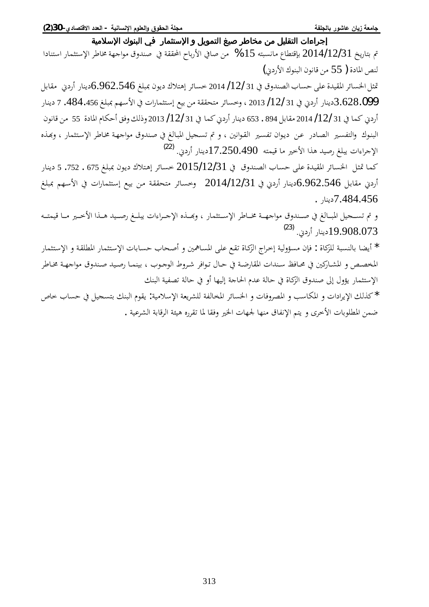قم بتاريخ 2014/12/31 بإقتطاع مانسبته 15 % من صافي الأرباح المحققة في صندوق مواجهة مخاطر الإستثمار استنادا  $(i,j)$ لنص المادة (55 من قانون البنوك الأردني

قثل الخسائر المقيدة على حساب الصندوق في 31 /12/ 2014 خسائر إهتلاك ديون بمبلغ 6.962.546دينار أردني مقابل 3،628.099 .484.456 دينار أردني في 31 /12/ 2013 ، وخسائر متحققة من بيع إستثمارات في الأسهم بمبلغ 484.456. 7 دينار أردني كما في 31 /12/ 2014 مقابل 894 . 653 دينار أردني كما في 31 /12/ 2013 وذلك وفق أحكام المادة 55 من قانون البنوك والتفسير الصادر عن ديوان تفسير القوانين ، و تم تسحيل المبالغ في صندوق مواجهة مخاطر الإستثمار ، وبَهذه الإجراءات يبلغ رصيد هذا الأخير ما قيمته 17.250.490 [22] أودني. <sup>[\(22](#page-16-21))</sup>

كما تمثل الخسائر المقيدة على حساب الصندوق في 2015/12/31 خسائر إهتلاك ديون بمبلغ 675 . 752. 5 دينار أردني مقابل 6.962.546دينار أردني في 2014/12/31 وخسائر متحققة من بيع إستثمارات في الأسهم بمبلغ . دينار $7.484.456$ 

و تم تسـحيل المبـالغ في صـندوق مواجهـة مخـاطر الإسـتثمار ، وبحـذه الإجـراءات يبلـغ رصـيد هـذا الأخـير مـا قيمتـه .<sup>([23\)](#page-16-22)</sup> 19.908.073<br>19.908.073

°ƢǸưƬºLJȍ¦ÂƨºǬǴǘŭ¦°ƢǸưƬºLJȍ¦©ƢƥƢºLjƷ§ƢƸºǏ¢ÂśŷƢºLjŭ¦ȄºǴǟǞºǬƫ¨ƢºǯDŽdz¦«¦ǂºƻ¤ƨȈdzÂƚLjǷÀƜǧ : ¨ƢǯDŽǴdzƨƦLjǼdzƢƥƢǔȇ¢ \* المخصص و المشاركين في محـافظ سـندات المقارضـة في حـال تـوافر شـروط الوجـوب ، بينمـا رصـيد صـندوق مواجـهـة مخـاطر الإستثمار يؤول إلى صندوق الزكاة في حالة عدم الحاجة إليها أو في حالة تصفية البنك

\* كذلك الإيرادات و المكاسب و المصروفات و الخسائر المخالفة للشريعة الإسلامية: يقوم البنك بتسجيل في حساب خاص ضمن المطلوبات الأخرى و يتم الإنفاق منها لجهات الخير وفقا لما تقرره هيئة الرقابة الشرعية .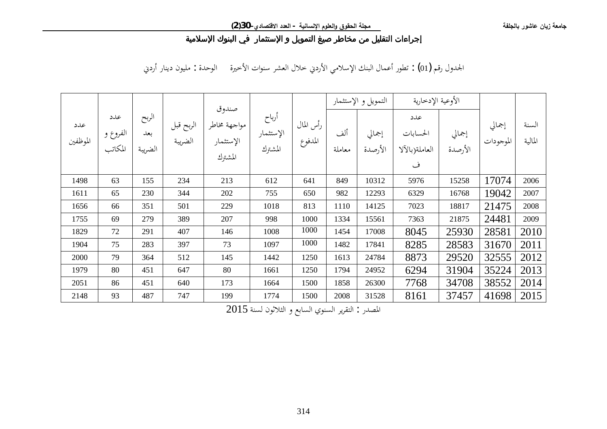الجدول رقم (01) : تطور أعمال البنك الإسلامي الأردني خلال العشر سنوات الأخيرة الوحدة : مليون دينار أردني

|                      |                                   |                                 |                      |                                                                                                                                                 |      |      | التمويل و الإستثمار |                   | الأوعية الإدخارية                        |                                             |       |                  |
|----------------------|-----------------------------------|---------------------------------|----------------------|-------------------------------------------------------------------------------------------------------------------------------------------------|------|------|---------------------|-------------------|------------------------------------------|---------------------------------------------|-------|------------------|
| عدد<br>ا<br>الموظفين | عدد<br>  الفروع و<br> <br>المكاتب | الربح<br>بعد $\vert$<br>الضريبة | الربح قبل<br>الضريبة | صندوق<br>  رأس المال    الإستثمار    مواجهة مخاطر  <br>  المدفوع    الإستثمار    الإستثمار    الصر<br>  المشترك    المشترك    الإستثمار    الصر |      |      | ألف<br>معاملة       | إجمالي<br>الأرصدة | عدد<br>الحسابات<br>  العاملة(بالآلا<br>ف | إجمالي  <br>ـه  الموجودات   إجمالي   ا<br>- |       | السنة<br>المالية |
| 1498                 | 63                                | 155                             | 234                  | 213                                                                                                                                             | 612  | 641  | 849                 | 10312             | 5976                                     | 15258                                       | 17074 | 2006             |
| 1611                 | 65                                | 230                             | 344                  | 202                                                                                                                                             | 755  | 650  | 982                 | 12293             | 6329                                     | 16768                                       | 19042 | 2007             |
| 1656                 | 66                                | 351                             | 501                  | 229                                                                                                                                             | 1018 | 813  | 1110                | 14125             | 7023                                     | 18817                                       | 21475 | 2008             |
| 1755                 | 69                                | 279                             | 389                  | 207                                                                                                                                             | 998  | 1000 | 1334                | 15561             | 7363                                     | 21875                                       | 24481 | 2009             |
| 1829                 | 72                                | 291                             | 407                  | 146                                                                                                                                             | 1008 | 1000 | 1454                | 17008             | 8045                                     | 25930                                       | 28581 | 2010             |
| 1904                 | 75                                | 283                             | 397                  | 73                                                                                                                                              | 1097 | 1000 | 1482                | 17841             | 8285                                     | 28583                                       | 31670 | 2011             |
| 2000                 | 79                                | 364                             | 512                  | 145                                                                                                                                             | 1442 | 1250 | 1613                | 24784             | 8873                                     | 29520                                       | 32555 | 2012             |
| 1979                 | 80                                | 451                             | 647                  | 80                                                                                                                                              | 1661 | 1250 | 1794                | 24952             | 6294                                     | 31904                                       | 35224 | 2013             |
| 2051                 | 86                                | 451                             | 640                  | 173                                                                                                                                             | 1664 | 1500 | 1858                | 26300             | 7768                                     | 34708                                       | 38552 | 2014             |
| 2148                 | 93                                | 487                             | 747                  | 199                                                                                                                                             | 1774 | 1500 | 2008                | 31528             | 8161                                     | 37457                                       | 41698 | 2015             |

 $2015$  المصدر : التقرير السنوي السابع و الثلاثون لسنة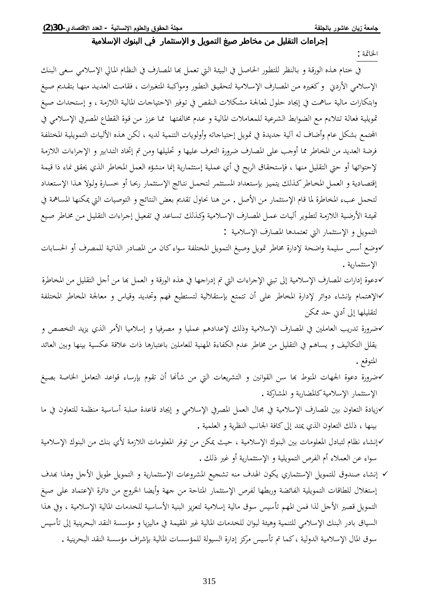الخاتمة :

في ختام هذه الورقة و بالنظر للتطور الحاصل في البيئة التي تعمل بما المصارف في النظام المالي الإسلامي سعى البنك الإسلامي الأردني وكغيره من المصارف الإسلامية لتحقيق التطور ومواكبة المتغيرات ، فقامت العديد منها بتقديم صيغ وابتكارات مالية ساهمت في إيجاد حلول لمعالجة مشكلات النقص في توفير الاحتياجات المالية اللازمة ، و إستحداث صيغ قويلية فعالة تتلاءِم مع الضوابط الشرعية للمعاملات المالية و عدم مخالفتها مما عزز من قوة القطاع المصرفي الإسلامي في الجحتمع بشكل عام وأضاف له آلية جديدة في تمويل إحتياجاته وأولويات التنمية لديه ، لكن هذه الأليات التمويلية المختلفة فرضة العديد من المخاطر مما أوجب على المصارف ضرورة التعرف عليها و تحليلها ومن تم إتخاد التدابير و الإجراءات اللازمة لإحتوائها أو حتى التقليل منها ، فإستحقاق الربح في أي عملية إستثمارية إنما منشؤه العمل المخاطر الذي يحقق نماء ذا قيمة إقتصادية و العمل المخاطر كذلك يتميز بإستعداد المستثمر لتحمل نتائج الإستثمار ربحا أو خسارة ولولا هذا الإستعداد لتحمل عبء المخاطرة لما قام الإستثمار من الأصل . من هنا نحاول تقديم بعض النتائج و التوصيات التي يمكنها المساهمة في تهيئة الأرضية اللازمة لتطوير أليات عمل المصارف الإسلامية وكذلك تساعد في تفعيل إجراءات التقليل من مخاطر صيع التمويل و الإستثمار التي تعتمدها المصارف الإسلامية :

- √وضع أسس سليمة واضحة لإدارة مخاطر تمويل وصيغ التمويل المختلفة سواء كان من المصادر الذاتية للمصرف أو الحسابات الإستثمارية .
- √دعوة إدارات المصارف الإسلامية إلى تبني الإجراءات التي تم إدراجها في هذه الورقة و العمل بما من أجل التقليل من المخاطرة √الإهتمام بإنشاء دوائر لإدارة المخاطر على أن تتمتع بإستقلالية لتستطيع فهم وتحديد وقياس و معالجة المخاطر المختلفة لتقليلها إلى أدبي حد ممكن
- كاضرورة تدريب العاملين في المصارف الإسلامية وذلك لإعدادهم عمليا و مصرفيا و إسلاميا الأمر الذي يزيد التخصص و يقلل التكاليف و يساهم في التقليل من مخاطر عدم الكفاءة المهنية للعاملين باعتبارها ذات علاقة عكسية بينها وبين العائد المتوقع .
- كضرورة دعوة الجهات المنوط بما سن القوانين و التشريعات التي من شأنها أن تقوم بإرساء قواعد التعامل الخاصة بصيغ V الإستثمار الإسلامية كالمضاربة و المشاركة .
- √زيادة التعاون بين المصارف الإسلامية في مجال العمل المصرفي الإسلامي و إيجاد قاعدة صلبة أساسية منظمة للتعاون في ما بينها ، ذلك التعاون الذي يمتد إلى كافة الجانب النظرية و العلمية .
- كإنشاء نظام لتبادل المعلومات بين البنوك الإسلامية ، حيث يمكن من توفر المعلومات اللازمة لأي بنك من البنوك الإسلامية سواءِ عن العملاءِ أم الفرص التمويلية و الإستثمارية أو غير ذلك .
- √ إنشاء صندوق للتمويل الإستثماري يكون الهدف منه تشجيع المشروعات الإستثمارية و التمويل طويل الأجل وهذا بهدف إستغلال للطاقات التمويلية الفائضة وربطها لفرص الإستثمار المتاحة من جهة وأيضا الخروج من دائرة الإعتماد على صيغ التمويل قصير الأجل لذا فمن المهم تأسيس سوق مالية إسلامية لتعزيز البنية الأساسية للخدمات المالية الإسلامية ، وفي هذا السياق بادر البنك الإسلامي للتنمية وهيئة لبوان للخدمات المالية غير المقيمة في ماليزيا و مؤسسة النقد البحرينية إلى تأسيس سوق المال الإسلامية الدولية ،كما تم تأسيس مركز إدارة السيولة للمؤسسات المالية بإشراف مؤسسة النقد البحرينية .